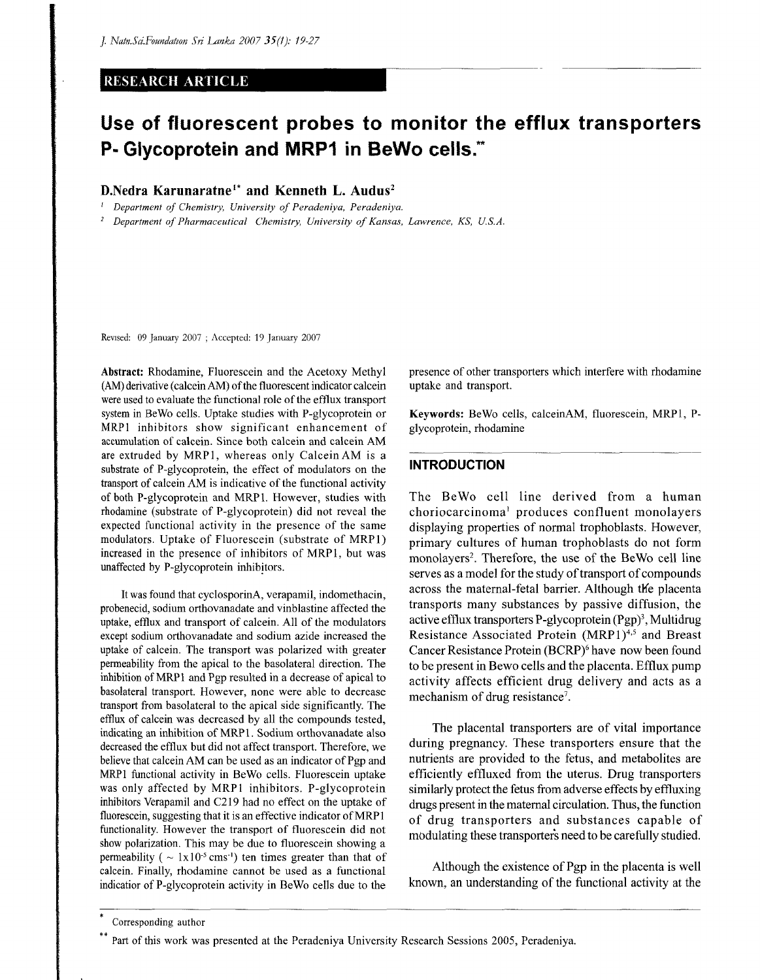# RESEARCH ARTICLE

# **Use of fluorescent probes to monitor the efflux transporters P- Glycoprotein and MRP1 in BeWo cells.\*\***

# D.Nedra Karunaratne<sup>1\*</sup> and Kenneth L. Audus<sup>2</sup>

;  *Department of Chemistry, University of Peradeniya, Peradeniya.* 

*2 Department of Pharmaceutical Chemistry, University of Kansas, Lawrence, KS, U.S.A.* 

Revised: 09 January 2007 ; Accepted: 19 January 2007

Abstract: Rhodamine, Fluorescein and the Acetoxy Methyl (AM) derivative (calcein AM) of the fluorescent indicator calcein were used to evaluate the functional role of the efflux transport system in BeWo cells. Uptake studies with P-glycoprotein or MRP1 inhibitors show significant enhancement of accumulation of calcein. Since both calcein and calcein AM are extruded by MRP1, whereas only Calcein AM is a substrate of P-glycoprotein, the effect of modulators on the transport of calcein AM is indicative of the functional activity of both P-glycoprotein and MRP1. However, studies with rhodamine (substrate of P-glycoprotein) did not reveal the expected functional activity in the presence of the same modulators. Uptake of Fluorescein (substrate of MRP1) increased in the presence of inhibitors of MRP1, but was unaffected by P-glycoprotein inhibitors.

It was found that cyclosporinA, verapamil, indomethacin, probenecid, sodium orthovanadate and vinblastine affected the uptake, efflux and transport of calcein. All of the modulators except sodium orthovanadate and sodium azide increased the uptake of calcein. The transport was polarized with greater permeability from the apical to the basolateral direction. The inhibition of MRP1 and Pgp resulted in a decrease of apical to basolateral transport. However, none were able to decrease transport from basolateral to the apical side significantly. The efflux of calcein was decreased by all the compounds tested, indicating an inhibition of MRP 1. Sodium orthovanadate also decreased the efflux but did not affect transport. Therefore, we believe that calcein AM can be used as an indicator of Pgp and MRP1 functional activity in BeWo cells. Fluorescein uptake was only affected by MRP1 inhibitors. P-glycoprotein inhibitors Verapamil and C219 had no effect on the uptake of fluorescein, suggesting that it is an effective indicator of MRP1 functionality. However the transport of fluorescein did not show polarization. This may be due to fluorescein showing a permeability  $(\sim 1x10^{-5} \text{ cm s}^{-1})$  ten times greater than that of calcein. Finally, rhodamine cannot be used as a functional indicatior of P-glycoprotein activity in BeWo cells due to the

presence of other transporters which interfere with rhodamine uptake and transport.

Keywords: BeWo cells, calceinAM, fluorescein, MRP1, Pglycoprotein, rhodamine

## **INTRODUCTION**

The BeWo cell line derived from a human choriocarcinoma<sup>1</sup> produces confluent monolayers displaying properties of normal trophoblasts. However, primary cultures of human trophoblasts do not form monolayers<sup>2</sup>. Therefore, the use of the BeWo cell line serves as a model for the study of transport of compounds across the maternal-fetal barrier. Although the placenta transports many substances by passive diffusion, the active efflux transporters P-glycoprotein (Pgp)<sup>3</sup>, Multidrug Resistance Associated Protein (MRP1)<sup>4,5</sup> and Breast Cancer Resistance Protein (BCRP)<sup>6</sup> have now been found to be present in Bewo cells and the placenta. Efflux pump activity affects efficient drug delivery and acts as a mechanism of drug resistance<sup>7</sup>.

The placental transporters are of vital importance during pregnancy. These transporters ensure that the nutrients are provided to the fetus, and metabolites are efficiently effluxed from the uterus. Drug transporters similarly protect the fetus from adverse effects by effluxing drugs present in the maternal circulation. Thus, the function of drug transporters and substances capable of modulating these transporters need to be carefully studied.

Although the existence of Pgp in the placenta is well known, an understanding of the functional activity at the

Corresponding author

Part of this work was presented at the Peradeniya University Research Sessions 2005, Peradeniya.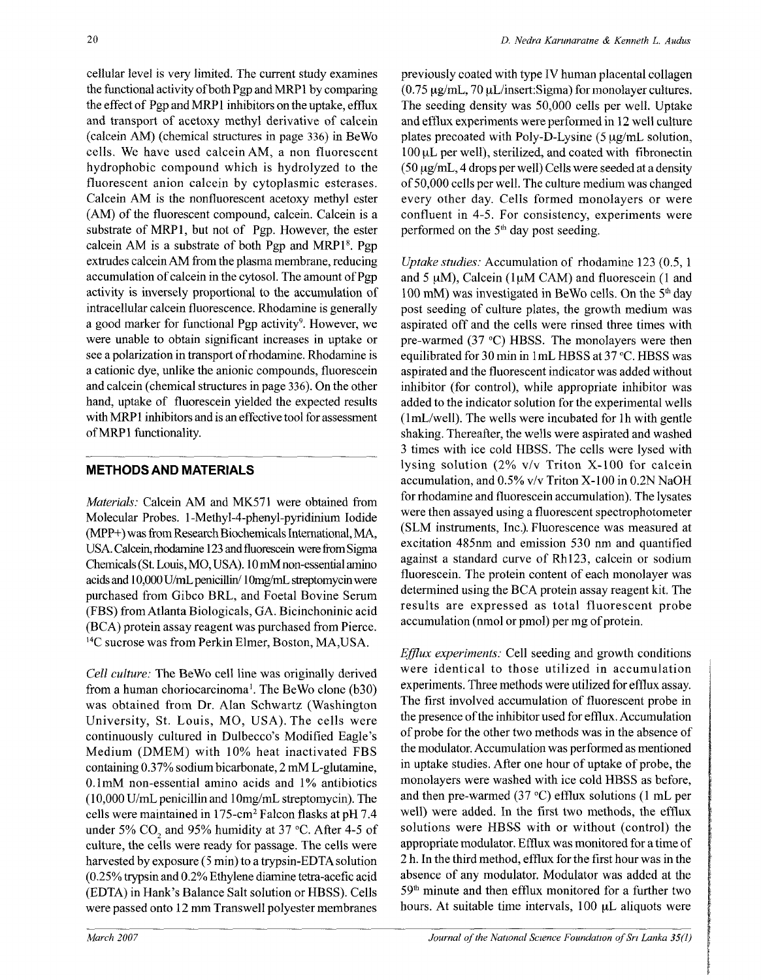cellular level is very limited. The current study examines the functional activity of both Pgp and MRP1 by comparing the effect of Pgp and MRP1 inhibitors on the uptake, efflux and transport of acetoxy methyl derivative of calcein (calcein AM) (chemical structures in page 336) in BeWo cells. We have used calcein AM, a non fluorescent hydrophobic compound which is hydroiyzed to the fluorescent anion calcein by cytoplasmic esterases. Calcein AM is the nonfluorescent acetoxy methyl ester (AM) of the fluorescent compound, calcein. Calcein is a substrate of MRP1, but not of Pgp. However, the ester calcein AM is a substrate of both Pgp and MRP1<sup>8</sup>. Pgp extrudes calcein AM from the plasma membrane, reducing accumulation of calcein in the cytosol. The amount of Pgp activity is inversely proportional to the accumulation of intracellular calcein fluorescence. Rhodamine is generally a good marker for functional Pgp activity<sup>9</sup>. However, we were unable to obtain significant increases in uptake or see a polarization in transport of rhodamine. Rhodamine is a cationic dye, unlike the anionic compounds, fluorescein and calcein (chemical structures in page 336). On the other hand, uptake of fluorescein yielded the expected results with MRP1 inhibitors and is an effective tool for assessment of MRP1 functionality.

# METHODS AND MATERIALS

*Materials:* Calcein AM and MK571 were obtained from Molecular Probes. 1-Methyl-4-phenyl-pyridinium Iodide (MPP+) was from Research Biochemicals International, MA, USA. Calcein, rhcdamine 123 and fluorescein were from Sigma Chemicals (St. Louis, MO, USA). 10 mM non-essential amino acids and 10,000 U/mL penicillin/1 Omg/mL streptomycin were purchased from Gibco BRL, and Foetal Bovine Serum (FBS) from Atlanta Biologicals, GA. Bicinchoninic acid (BCA) protein assay reagent was purchased from Pierce. I4C sucrose was from Perkin Elmer, Boston, MA,USA.

*Cell culture:* The BeWo cell line was originally derived from a human choriocarcinoma<sup>1</sup>. The BeWo clone (b30) was obtained from Dr. Alan Schwartz (Washington University, St. Louis, MO, USA). The cells were continuously cultured in Dulbecco's Modified Eagle's Medium (DMEM) with 10% heat inactivated FBS containing 0.37% sodium bicarbonate, 2 mM L-glutamine, 0.1 mM non-essential amino acids and 1% antibiotics (10,000 U/mL penicillin and 1 Omg/mL streptomycin). The cells were maintained in 175-cm<sup>2</sup> Falcon flasks at pH 7.4 under 5% CO<sub>2</sub> and 95% humidity at 37 °C. After 4-5 of culture, the cells were ready for passage. The cells were harvested by exposure (5 min) to a trypsin-EDTA solution  $(0.25\%$  trypsin and  $0.2\%$  Ethylene diamine tetra-acefic acid (EDTA) in Hank's Balance Salt solution or HBSS). Cells were passed onto 12 mm Transwell polyester membranes

previously coated with type IV human placental collagen  $(0.75 \mu g/mL, 70 \mu L/insert:Sigma)$  for monolayer cultures. The seeding density was 50,000 cells per well. Uptake and efflux experiments were performed in 12 well culture plates precoated with Poly-D-Lysine  $(5 \mu g/mL)$  solution, 100 uL per well), sterilized, and coated with flbronectin  $(50 \,\mu\text{g/mL}, 4$  drops per well) Cells were seeded at a density of 50,000 cells per well. The culture medium was changed every other day. Cells formed monolayers or were confluent in 4-5. For consistency, experiments were performed on the  $5<sup>th</sup>$  day post seeding.

*Uptake studies:* Accumulation of rhodamine 123 (0.5, 1 and 5  $\mu$ M), Calcein (1 $\mu$ M CAM) and fluorescein (1 and 100 mM) was investigated in BeWo cells. On the 5<sup>th</sup> day post seeding of culture plates, the growth medium was aspirated off and the cells were rinsed three times with pre-warmed (37 °C) HBSS. The monolayers were then equilibrated for 30 min in 1 mL HBSS at 37 °C. HBSS was aspirated and the fluorescent indicator was added without inhibitor (for control), while appropriate inhibitor was added to the indicator solution for the experimental wells (lmL/well). The wells were incubated for lh with gentle shaking. Thereafter, the wells were aspirated and washed 3 times with ice cold HBSS. The cells were lysed with lysing solution (2% v/v Triton X-100 for calcein accumulation, and 0.5% v/v Triton X-100 in 0.2N NaOH for rhodamine and fluorescein accumulation). The lysates were then assayed using a fluorescent spectrophotometer (SLM instruments, Inc.). Fluorescence was measured at excitation 485nm and emission 530 nm and quantified against a standard curve of Rh123, calcein or sodium fluorescein. The protein content of each monolayer was determined using the BCA protein assay reagent kit. The results are expressed as total fluorescent probe accumulation (nmol or pmol) per mg of protein.

*Efflux experiments:* Cell seeding and growth conditions were identical to those utilized in accumulation experiments. Three methods were utilized for efflux assay. The first involved accumulation of fluorescent probe in the presence of the inhibitor used for efflux. Accumulation of probe for the other two methods was in the absence of the modulator. Accumulation was performed as mentioned in uptake studies. After one hour of uptake of probe, the monolayers were washed with ice cold HBSS as before, and then pre-warmed  $(37 \text{ °C})$  efflux solutions  $(1 \text{ mL per})$ well) were added. In the first two methods, the efflux solutions were HBSS with or without (control) the appropriate modulator. Efflux was monitored for a time of 2 h. In the third method, efflux for the first hour was in the absence of any modulator. Modulator was added at the 59th minute and then efflux monitored for a further two hours. At suitable time intervals,  $100 \mu L$  aliquots were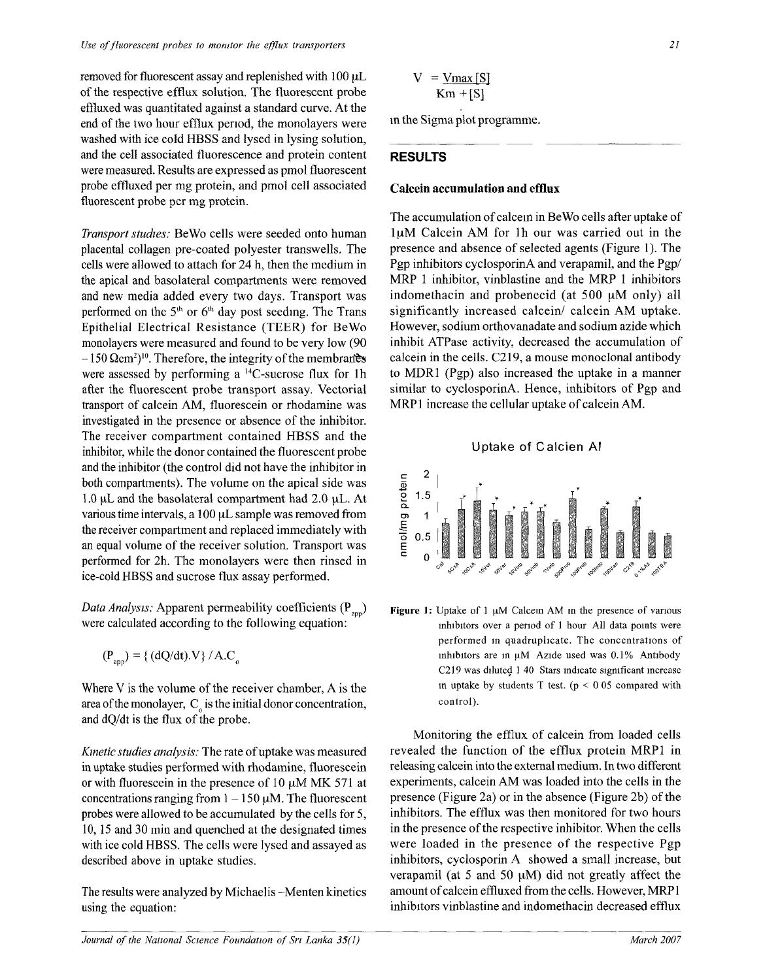removed for fluorescent assay and replenished with 100 uL of the respective efflux solution. The fluorescent probe effluxed was quantitated against a standard curve. At the end of the two hour efflux period, the monolayers were washed with ice cold HBSS and lysed in lysing solution, and the cell associated fluorescence and protein content were measured. Results are expressed as pmol fluorescent probe effluxed per mg protein, and pmol cell associated fluorescent probe per mg protein.

*Transport studies:* BeWo cells were seeded onto human placental collagen pre-coated polyester transwells. The cells were allowed to attach for 24 h, then the medium in the apical and basolateral compartments were removed and new media added every two days. Transport was performed on the  $5<sup>th</sup>$  or  $6<sup>th</sup>$  day post seeding. The Trans Epithelial Electrical Resistance (TEER) for BeWo monolayers were measured and found to be very low (90  $-150 \Omega$ cm<sup>2</sup>)<sup>10</sup>. Therefore, the integrity of the membranes were assessed by performing a  $^{14}$ C-sucrose flux for 1h after the fluorescent probe transport assay. Vectorial transport of calcein AM, fluorescein or rhodamine was investigated in the presence or absence of the inhibitor. The receiver compartment contained HBSS and the inhibitor, while the donor contained the fluorescent probe and the inhibitor (the control did not have the inhibitor in both compartments). The volume on the apical side was 1.0 *\iL* and the basolateral compartment had 2.0 uL. At various time intervals, a 100 uL sample was removed from the receiver compartment and replaced immediately with an equal volume of the receiver solution. Transport was performed for 2h. The monolayers were then rinsed in ice-cold HBSS and sucrose flux assay performed.

*Data Analysis:* Apparent permeability coefficients (P<sub>ann</sub>) were calculated according to the following equation:

$$
(\mathbf{P}_{\text{app}}) = \{ (\mathrm{d}Q/\mathrm{d}t).V \} / A.C_{_0}
$$

Where V is the volume of the receiver chamber, A is the area of the monolayer,  $C_{\alpha}$  is the initial donor concentration, and dQ/dt is the flux of the probe.

*Kinetic studies analysis:* The rate of uptake was measured in uptake studies performed with rhodamine, fluorescein or with fluorescein in the presence of 10 *\iM* MK 571 at concentrations ranging from  $1-150 \mu M$ . The fluorescent probes were allowed to be accumulated by the cells for 5, 10,15 and 30 min and quenched at the designated times with ice cold HBSS. The cells were lysed and assayed as described above in uptake studies.

The results were analyzed by Michaelis -Menten kinetics using the equation:

$$
V = \frac{V_{\text{max}}[S]}{K_m + [S]}
$$

m the Sigma plot programme.

#### RESULTS

## **Calcein accumulation and efflux**

The accumulation of calcein in BeWo cells after uptake of luM Calcein AM for lh our was carried out in the presence and absence of selected agents (Figure 1). The Pgp inhibitors cyclosporinA and verapamil, and the Pgp/ MRP 1 inhibitor, vinblastine and the MRP 1 inhibitors indomethacin and probenecid (at 500 uM only) all significantly increased calcein/ calcein AM uptake. However, sodium orthovanadate and sodium azide which inhibit ATPase activity, decreased the accumulation of calcein in the cells. C219, a mouse monoclonal antibody to MDR1 (Pgp) also increased the uptake in a manner similar to cyclosporinA. Hence, inhibitors of Pgp and MRPl increase the cellular uptake of calcein AM.





**Figure 1**: Uptake of 1 uM Calcein AM in the presence of various inhibitors over a period of 1 hour All data points were performed in quadruplicate. The concentrations of inhibitors are in uM Azide used was 0.1% Antibody C219 was diluted 1 40 Stars indicate significant increase in uptake by students T test,  $(p < 0.05$  compared with control).

Monitoring the efflux of calcein from loaded cells revealed the function of the efflux protein MRPl in releasing calcein into the external medium. In two different experiments, calcein AM was loaded into the cells in the presence (Figure 2a) or in the absence (Figure 2b) of the inhibitors. The efflux was then monitored for two hours in the presence of the respective inhibitor. When the cells were loaded in the presence of the respective Pgp inhibitors, cyclosporin A showed a small increase, but verapamil (at 5 and 50 uM) did not greatly affect the amount of calcein effluxed from the cells. However, MRPl inhibitors vinblastine and indomethacin decreased efflux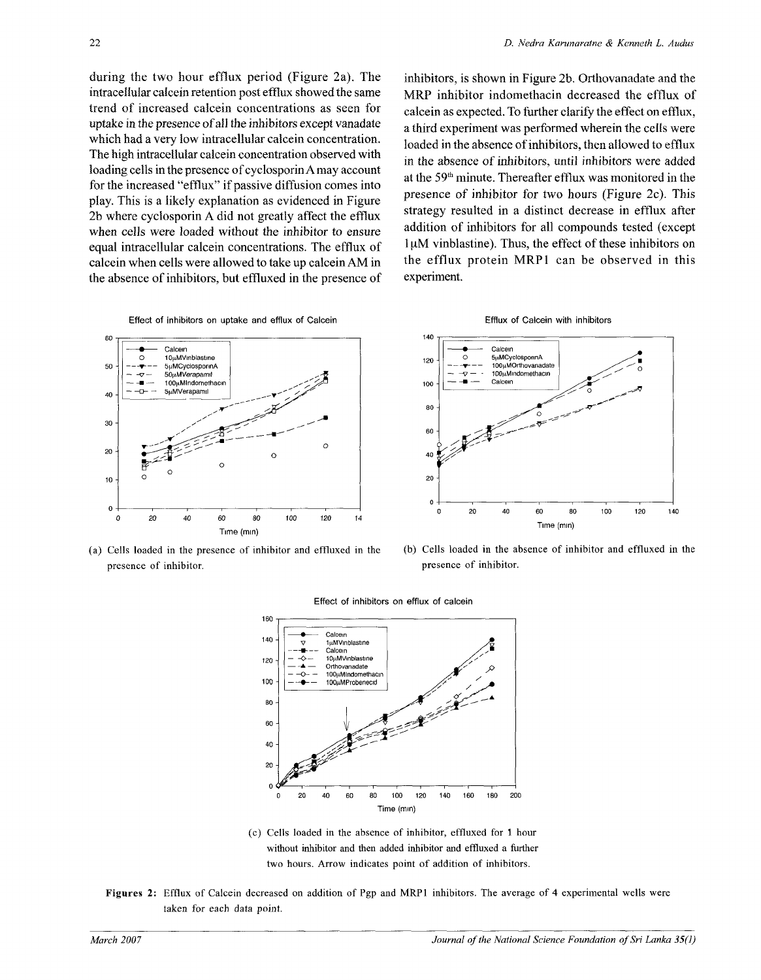during the two hour efflux period (Figure 2a). The intracellular calcein retention post efflux showed the same trend of increased calcein concentrations as seen for uptake in the presence of all the inhibitors except vanadate which had a very low intracellular calcein concentration. The high intracellular calcein concentration observed with loading cells in the presence of cyclosporin A may account for the increased "efflux" if passive diffusion comes into play. This is a likely explanation as evidenced in Figure 2b where cyclosporin A did not greatly affect the efflux when cells were loaded without the inhibitor to ensure equal intracellular calcein concentrations. The efflux of calcein when cells were allowed to take up calcein AM in the absence of inhibitors, but effluxed in the presence of inhibitors, is shown in Figure 2b. Orthovanadate and the MRP inhibitor indomethacin decreased the efflux of calcein as expected. To further clarify the effect on efflux, a third experiment was performed wherein the cells were loaded in the absence of inhibitors, then allowed to efflux in the absence of inhibitors, until inhibitors were added at the 59<sup>th</sup> minute. Thereafter efflux was monitored in the presence of inhibitor for two hours (Figure 2c). This strategy resulted in a distinct decrease in efflux after addition of inhibitors for all compounds tested (except 1µM vinblastine). Thus, the effect of these inhibitors on the efflux protein MRPl can be observed in this experiment.



(a) Cells loaded in the presence of inhibitor and effluxed in the presence of inhibitor.



(b) Cells loaded in the absence of inhibitor and effluxed in the presence of inhibitor.



Effect of inhibitors on efflux of calcein

- (c) Cells loaded in the absence of inhibitor, effluxed for 1 hour without inhibitor and then added inhibitor and effluxed a further two hours. Arrow indicates point of addition of inhibitors.
- **Figures 2:** Efflux of Calcein decreased on addition of Pgp and MRPl inhibitors. The average of 4 experimental wells were taken for each data point.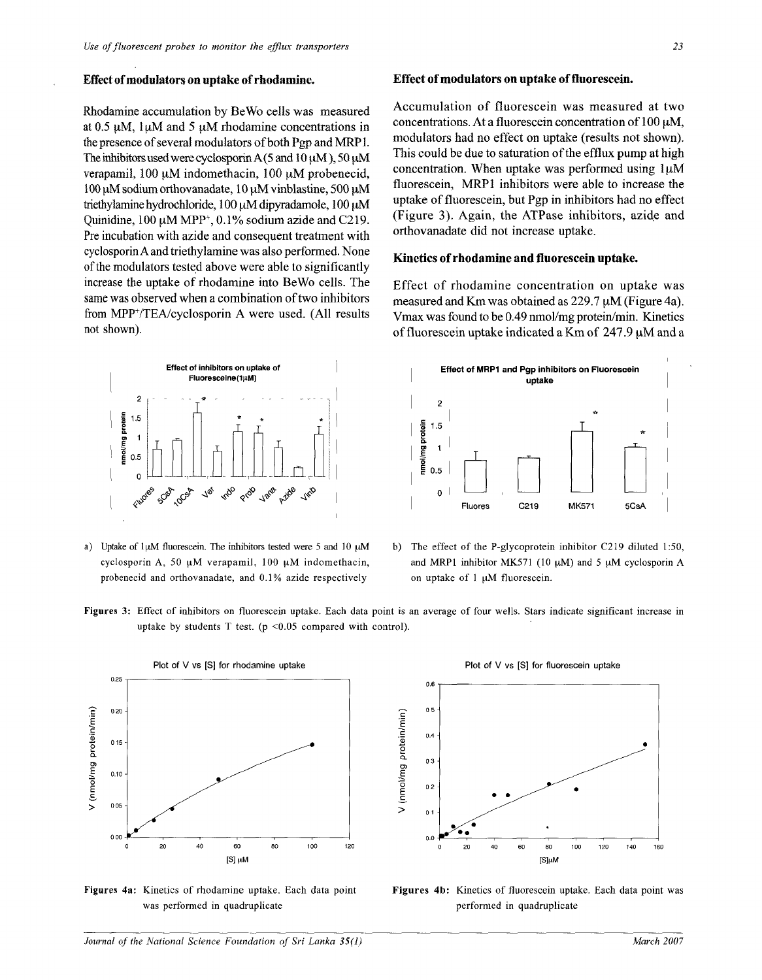#### **Effect of modulators on uptake of rhodamine.**

Rhodamine accumulation by BeWo cells was measured at 0.5 uM, luM and 5 uM rhodamine concentrations in the presence of several modulators of both Pgp and MRP 1. The inhibitors used were cyclosporin A (5 and 10  $\mu$ M), 50  $\mu$ M verapamil, 100 uM indomethacin, 100 *\iM* probenecid, 100  $\mu$ M sodium orthovanadate, 10  $\mu$ M vinblastine, 500  $\mu$ M triethylamine hydrochloride, 100 µM dipyradamole, 100 µM Quinidine,  $100 \mu M MPP^+$ ,  $0.1\%$  sodium azide and C219. Pre incubation with azide and consequent treatment with cyclosporin A and triethylamine was also performed. None of the modulators tested above were able to significantly increase the uptake of rhodamine into BeWo cells. The same was observed when a combination of two inhibitors from MPP<sup>+</sup>/TEA/cyclosporin A were used. (All results not shown).



probenecid and orthovanadate, and 0.1% azide respectively on uptake of 1 uM fluorescein.

#### **Effect of modulators on uptake of fluorescein.**

Accumulation of fluorescein was measured at two concentrations. At a fluorescein concentration of  $100 \mu M$ , modulators had no effect on uptake (results not shown). This could be due to saturation of the efflux pump at high concentration. When uptake was performed using  $1\mu$ M fluorescein, MRPl inhibitors were able to increase the uptake of fluorescein, but Pgp in inhibitors had no effect (Figure 3). Again, the ATPase inhibitors, azide and orthovanadate did not increase uptake.

#### **Kinetics of rhodamine and fluorescein uptake.**

Effect of rhodamine concentration on uptake was measured and Km was obtained as 229.7 uM (Figure 4a). Vmax was found to be 0.49 nmol/mg protein/min. Kinetics of fluorescein uptake indicated a Km of  $247.9 \mu M$  and a



- a) Uptake of luM fluorescein. The inhibitors tested were 5 and 10  $\mu$ M b) The effect of the P-glycoprotein inhibitor C219 diluted 1:50, cyclosporin A, 50  $\mu$ M verapamil, 100  $\mu$ M indomethacin, and MRP1 inhibitor MK571 (10  $\mu$ M) and 5  $\mu$ M cyclosporin A
- **Figures 3:** Effect of inhibitors on fluorescein uptake. Each data point is an average of four wells. Stars indicate significant increase in uptake by students T test. ( $p \le 0.05$  compared with control).



**Figures 4a:** Kinetics of rhodamine uptake. Each data point was performed in quadruplicate



**Figures 4b:** Kinetics of fluorescein uptake. Each data point was performed in quadruplicate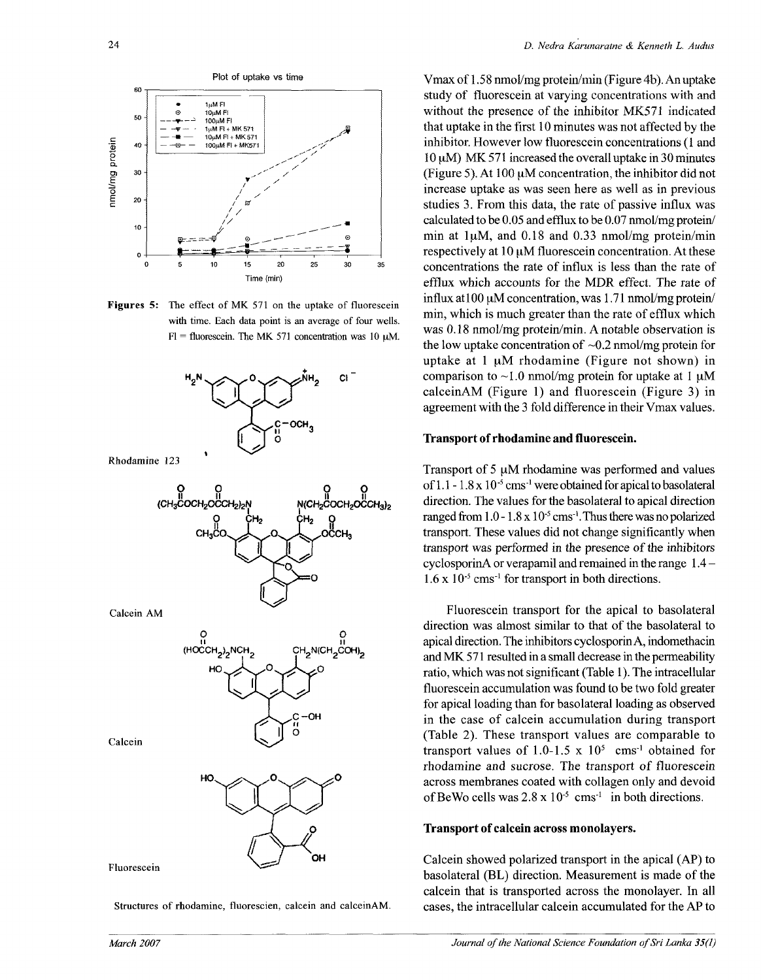

**Figures 5:** The effect of MK 571 on the uptake of fluorescein with time. Each data point is an average of four wells.  $Fl =$  fluorescein. The MK 571 concentration was 10  $\mu$ M.



Structures of rhodamine, fluorescien, calcein and calceinAM.

Vmax of 1.58 nmol/mg protein/min (Figure 4b). An uptake study of fluorescein at varying concentrations with and without the presence of the inhibitor MK571 indicated that uptake in the first 10 minutes was not affected by the inhibitor. However low fluorescein concentrations (1 and  $10 \mu$ M) MK 571 increased the overall uptake in 30 minutes (Figure 5). At 100 uM concentration, the inhibitor did not increase uptake as was seen here as well as in previous studies 3. From this data, the rate of passive influx was calculated to be 0.05 and efflux to be 0.07 nmol/mg protein/ min at  $1\mu$ M, and 0.18 and 0.33 nmol/mg protein/min respectively at  $10 \mu M$  fluorescein concentration. At these concentrations the rate of influx is less than the rate of efflux which accounts for the MDR effect. The rate of influx at  $100 \mu M$  concentration, was  $1.71$  nmol/mg protein/ min, which is much greater than the rate of efflux which was 0.18 nmol/mg protein/min. A notable observation is the low uptake concentration of  $\sim 0.2$  nmol/mg protein for uptake at  $1 \mu M$  rhodamine (Figure not shown) in comparison to  $\sim$ 1.0 nmol/mg protein for uptake at 1  $\mu$ M calceinAM (Figure 1) and fluorescein (Figure 3) in agreement with the 3 fold difference in their Vmax values.

#### **Transport of rhodamine and fluorescein.**

Transport of 5  $\mu$ M rhodamine was performed and values of 1.1 - 1.8 x 10<sup>-5</sup> cms<sup>-1</sup> were obtained for apical to basolateral direction. The values for the basolateral to apical direction ranged from  $1.0$  -  $1.8$  x  $10^{-5}$  cms<sup>-1</sup>. Thus there was no polarized transport. These values did not change significantly when transport was performed in the presence of the inhibitors cyclosporinA or verapamil and remained in the range 1.4 -  $1.6 \times 10^{-5}$  cms<sup>-1</sup> for transport in both directions.

Fluorescein transport for the apical to basolateral direction was almost similar to that of the basolateral to apical direction. The inhibitors cyclosporinA, indomethacin and MK 571 resulted in a small decrease in the permeability ratio, which was not significant (Table 1). The intracellular fluorescein accumulation was found to be two fold greater for apical loading than for basolateral loading as observed in the case of calcein accumulation during transport (Table 2). These transport values are comparable to transport values of  $1.0 - 1.5 \times 10^5$  cms<sup>-1</sup> obtained for rhodamine and sucrose. The transport of fluorescein across membranes coated with collagen only and devoid of BeWo cells was  $2.8 \times 10^{-5}$  cms<sup>1</sup> in both directions.

#### **Transport of calcein across monolayers.**

Calcein showed polarized transport in the apical (AP) to basolateral (BL) direction. Measurement is made of the calcein that is transported across the monolayer. In all cases, the intracellular calcein accumulated for the AP to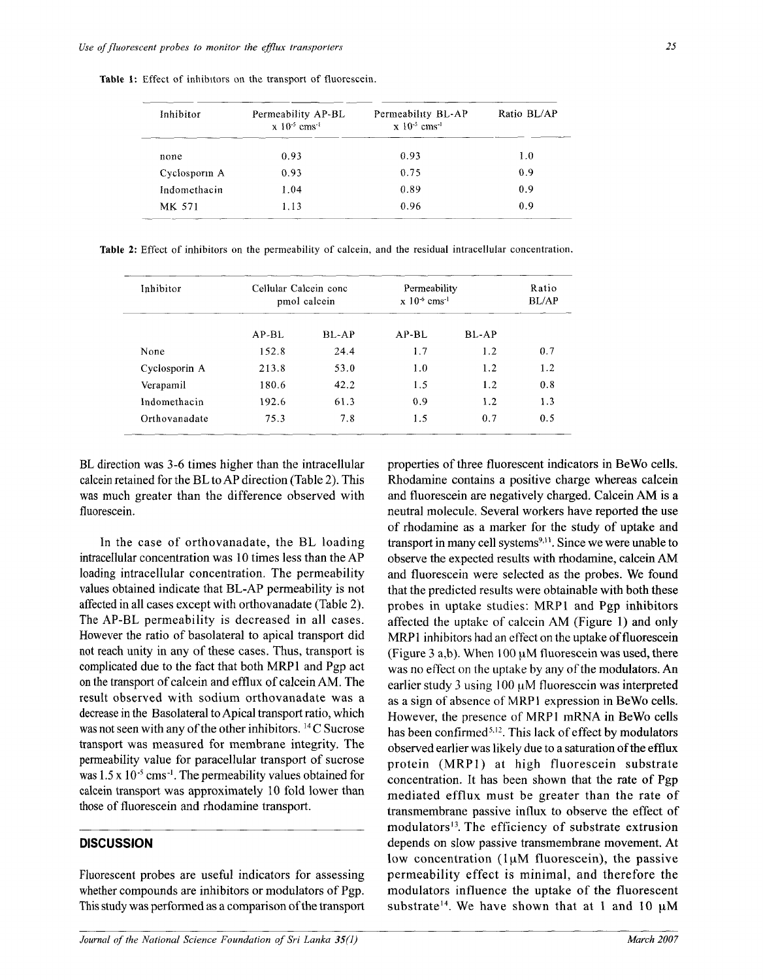**Table 1:** Effect of inhibitors on the transport of fluorescein.

| Inhibitor    | Permeability AP-BL<br>$x 10^{-5}$ cms <sup>-1</sup> | Permeability BL-AP<br>$x \frac{10^{-5}}{2}$ cms <sup>-1</sup> | Ratio BL/AP |  |
|--------------|-----------------------------------------------------|---------------------------------------------------------------|-------------|--|
| none         | 0.93                                                | 0.93                                                          | 1.0         |  |
| Cyclosporm A | 0.93                                                | 0.75                                                          | 0.9         |  |
| Indomethacin | 1.04                                                | 0.89                                                          | 0.9         |  |
| MK 571       | 1.13                                                | 0.96                                                          | 0.9         |  |

**Table 2:** Effect of inhibitors on the permeability of calcein, and the residual intracellular concentration.

| Inhibitor     | Cellular Calcein conc<br>pmol calcein |         | Permeability<br>$x 10^{-6}$ cms <sup>-1</sup> |              | Ratio<br><b>BL/AP</b> |
|---------------|---------------------------------------|---------|-----------------------------------------------|--------------|-----------------------|
|               | $AP-BL$                               | $BL-AP$ | $AP-BL$                                       | <b>BL-AP</b> |                       |
| None          | 152.8                                 | 24.4    | 1.7                                           | 1.2          | 0.7                   |
| Cyclosporin A | 213.8                                 | 53.0    | 1.0                                           | 1.2          | 1.2                   |
| Verapamil     | 180.6                                 | 42.2    | 1.5                                           | 1.2          | 0.8                   |
| Indomethacin  | 192.6                                 | 61.3    | 0.9                                           | 1.2          | 1.3                   |
| Orthovanadate | 75.3                                  | 7.8     | 1.5                                           | 0.7          | 0.5                   |

BL direction was 3-6 times higher than the intracellular calcein retained for the BL to AP direction (Table 2). This was much greater than the difference observed with fluorescein.

In the case of orthovanadate, the BL loading intracellular concentration was 10 times less than the AP loading intracellular concentration. The permeability values obtained indicate that BL-AP permeability is not affected in all cases except with orthovanadate (Table 2). The AP-BL permeability is decreased in all cases. However the ratio of basolateral to apical transport did not reach unity in any of these cases. Thus, transport is complicated due to the fact that both MRP1 and Pgp act on the transport of calcein and efflux of calcein AM. The result observed with sodium orthovanadate was a a decrease in the Basolateral to Apical transport ratio, which was not seen with any of the other inhibitors.  $^{14}$ C Sucrose transport was measured for membrane integrity. The permeability value for paracellular transport of sucrose was  $1.5 \times 10^{-5}$  cms<sup>-1</sup>. The permeability values obtained for calcein transport was approximately 10 fold lower than those of fluorescein and rhodamine transport.

## **DISCUSSION**

Fluorescent probes are useful indicators for assessing whether compounds are inhibitors or modulators of Pgp. This study was performed as a comparison of the transport

low concentration (1µM fluorescein), the passive properties of three fluorescent indicators in BeWo cells. Rhodamine contains a positive charge whereas calcein and fluorescein are negatively charged. Calcein AM is a neutral molecule. Several workers have reported the use of rhodamine as a marker for the study of uptake and ng transport in many cell systems<sup>9,11</sup>. Since we were unable to observe the expected results with rhodamine, calcein AM and fluorescein were selected as the probes. We found that the predicted results were obtainable with both these probes in uptake studies: MRP1 and Pgp inhibitors affected the uptake of calcein  $AM$  (Figure 1) and only MRP1 inhibitors had an effect on the uptake of fluorescein (Figure 3 a,b). When  $100 \mu$ M fluorescein was used, there was no effect on the uptake by any of the modulators. An earlier study 3 using 100 uM fluorescein was interpreted as a sign of absence of MRPl expression in BeWo cells. However, the presence of MRPl mRNA in BeWo cells has been confirmed<sup>5,12</sup>. This lack of effect by modulators observed earlier was likely due to a saturation of the efflux protein (MRP1) at high fluorescein substrate concentration. It has been shown that the rate of Pgp mediated efflux must be greater than the rate of transmembrane passive influx to observe the effect of  $-$  modulators<sup>13</sup>. The efficiency of substrate extrusion depends on slow passive transmembrane movement. At permeability effect is minimal, and therefore the modulators influence the uptake of the fluorescent ort substrate<sup>14</sup>. We have shown that at 1 and 10  $\mu$ M